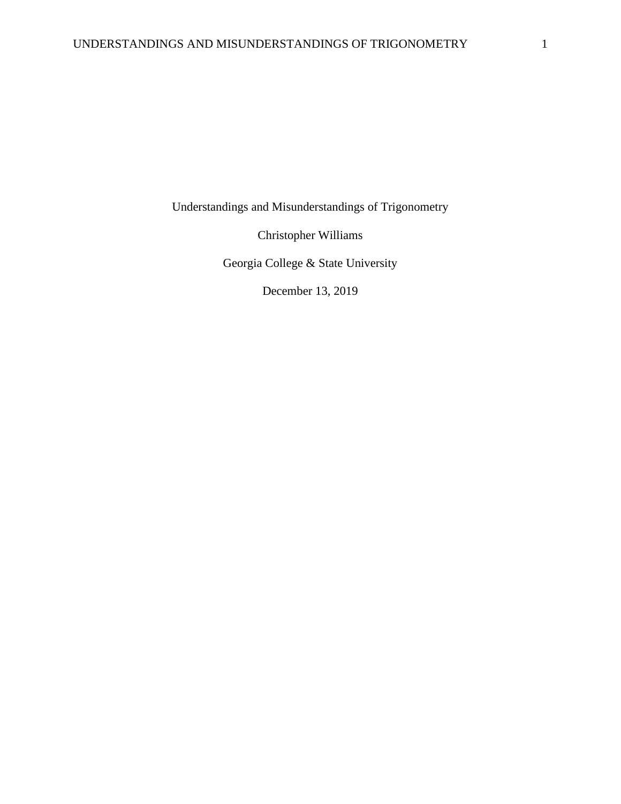Understandings and Misunderstandings of Trigonometry

Christopher Williams

Georgia College & State University

December 13, 2019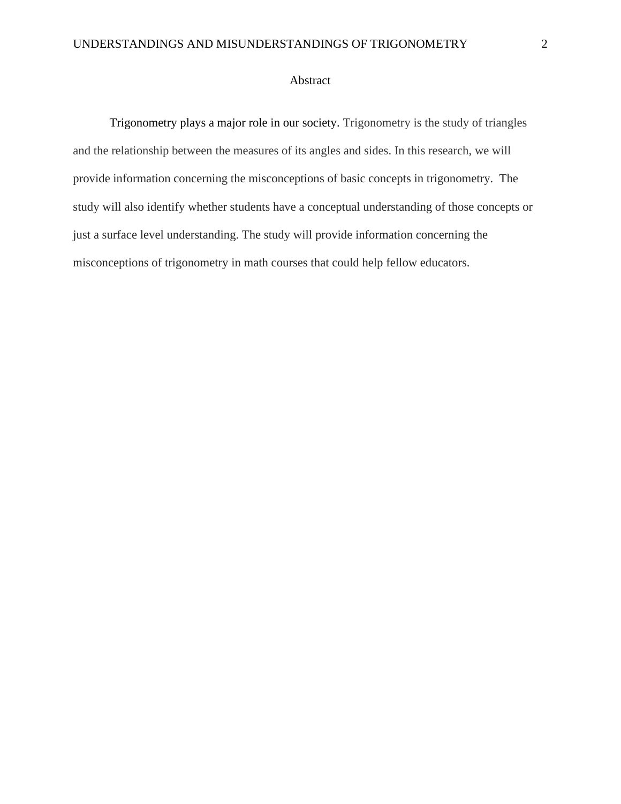# Abstract

Trigonometry plays a major role in our society. Trigonometry is the study of triangles and the relationship between the measures of its angles and sides. In this research, we will provide information concerning the misconceptions of basic concepts in trigonometry. The study will also identify whether students have a conceptual understanding of those concepts or just a surface level understanding. The study will provide information concerning the misconceptions of trigonometry in math courses that could help fellow educators.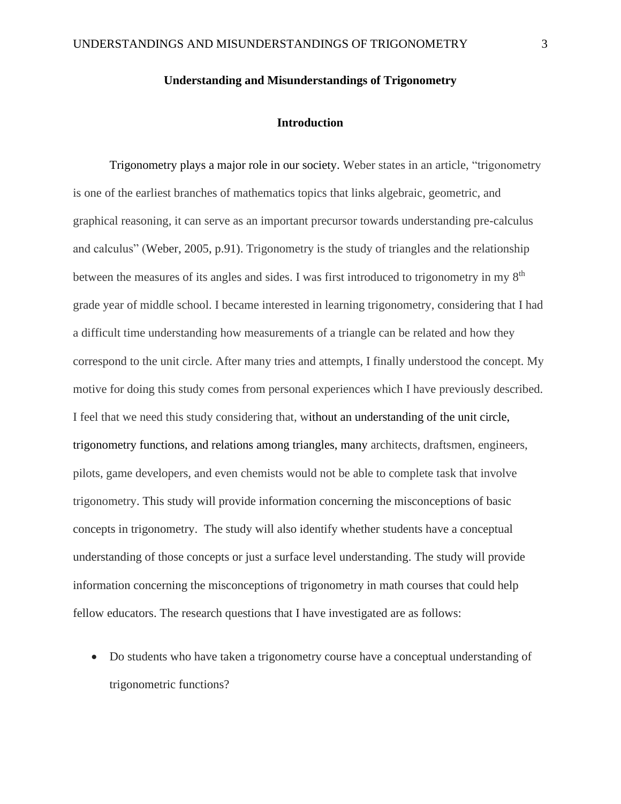# **Understanding and Misunderstandings of Trigonometry**

## **Introduction**

Trigonometry plays a major role in our society. Weber states in an article, "trigonometry is one of the earliest branches of mathematics topics that links algebraic, geometric, and graphical reasoning, it can serve as an important precursor towards understanding pre-calculus and calculus" (Weber, 2005, p.91). Trigonometry is the study of triangles and the relationship between the measures of its angles and sides. I was first introduced to trigonometry in my 8<sup>th</sup> grade year of middle school. I became interested in learning trigonometry, considering that I had a difficult time understanding how measurements of a triangle can be related and how they correspond to the unit circle. After many tries and attempts, I finally understood the concept. My motive for doing this study comes from personal experiences which I have previously described. I feel that we need this study considering that, without an understanding of the unit circle, trigonometry functions, and relations among triangles, many architects, draftsmen, engineers, pilots, game developers, and even chemists would not be able to complete task that involve trigonometry. This study will provide information concerning the misconceptions of basic concepts in trigonometry. The study will also identify whether students have a conceptual understanding of those concepts or just a surface level understanding. The study will provide information concerning the misconceptions of trigonometry in math courses that could help fellow educators. The research questions that I have investigated are as follows:

• Do students who have taken a trigonometry course have a conceptual understanding of trigonometric functions?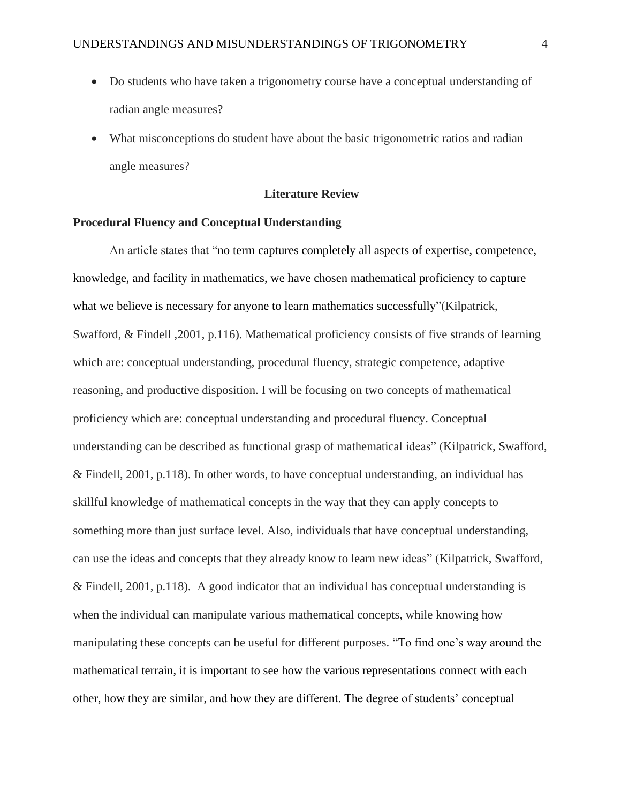- Do students who have taken a trigonometry course have a conceptual understanding of radian angle measures?
- What misconceptions do student have about the basic trigonometric ratios and radian angle measures?

## **Literature Review**

## **Procedural Fluency and Conceptual Understanding**

An article states that "no term captures completely all aspects of expertise, competence, knowledge, and facility in mathematics, we have chosen mathematical proficiency to capture what we believe is necessary for anyone to learn mathematics successfully"(Kilpatrick, Swafford, & Findell ,2001, p.116). Mathematical proficiency consists of five strands of learning which are: conceptual understanding, procedural fluency, strategic competence, adaptive reasoning, and productive disposition. I will be focusing on two concepts of mathematical proficiency which are: conceptual understanding and procedural fluency. Conceptual understanding can be described as functional grasp of mathematical ideas" (Kilpatrick, Swafford, & Findell, 2001, p.118). In other words, to have conceptual understanding, an individual has skillful knowledge of mathematical concepts in the way that they can apply concepts to something more than just surface level. Also, individuals that have conceptual understanding, can use the ideas and concepts that they already know to learn new ideas" (Kilpatrick, Swafford, & Findell, 2001, p.118). A good indicator that an individual has conceptual understanding is when the individual can manipulate various mathematical concepts, while knowing how manipulating these concepts can be useful for different purposes. "To find one's way around the mathematical terrain, it is important to see how the various representations connect with each other, how they are similar, and how they are different. The degree of students' conceptual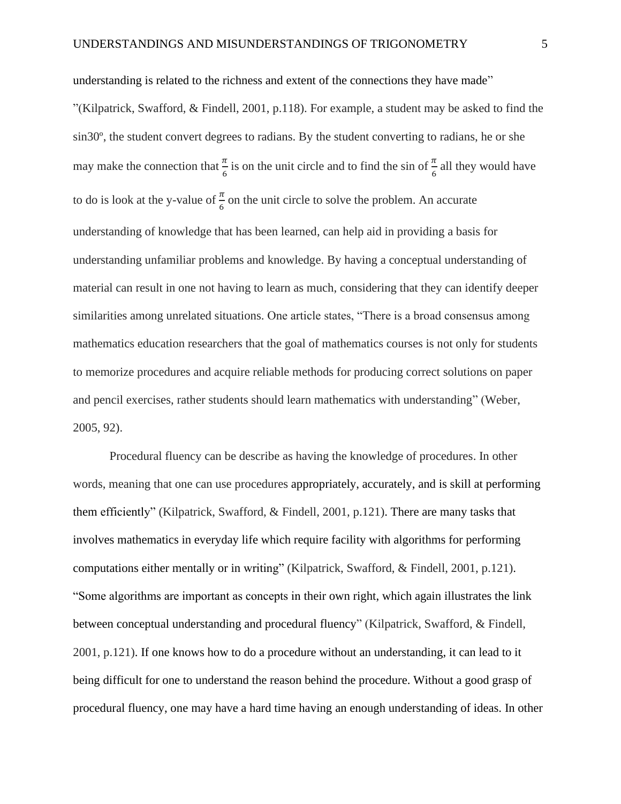understanding is related to the richness and extent of the connections they have made" "(Kilpatrick, Swafford,  $\&$  Findell, 2001, p.118). For example, a student may be asked to find the sin30º, the student convert degrees to radians. By the student converting to radians, he or she may make the connection that  $\frac{\pi}{6}$  is on the unit circle and to find the sin of  $\frac{\pi}{6}$  all they would have to do is look at the y-value of  $\frac{\pi}{6}$  on the unit circle to solve the problem. An accurate understanding of knowledge that has been learned, can help aid in providing a basis for understanding unfamiliar problems and knowledge. By having a conceptual understanding of material can result in one not having to learn as much, considering that they can identify deeper similarities among unrelated situations. One article states, "There is a broad consensus among mathematics education researchers that the goal of mathematics courses is not only for students to memorize procedures and acquire reliable methods for producing correct solutions on paper and pencil exercises, rather students should learn mathematics with understanding" (Weber, 2005, 92).

Procedural fluency can be describe as having the knowledge of procedures. In other words, meaning that one can use procedures appropriately, accurately, and is skill at performing them efficiently" (Kilpatrick, Swafford, & Findell, 2001, p.121). There are many tasks that involves mathematics in everyday life which require facility with algorithms for performing computations either mentally or in writing" (Kilpatrick, Swafford, & Findell, 2001, p.121). "Some algorithms are important as concepts in their own right, which again illustrates the link between conceptual understanding and procedural fluency" (Kilpatrick, Swafford, & Findell, 2001, p.121). If one knows how to do a procedure without an understanding, it can lead to it being difficult for one to understand the reason behind the procedure. Without a good grasp of procedural fluency, one may have a hard time having an enough understanding of ideas. In other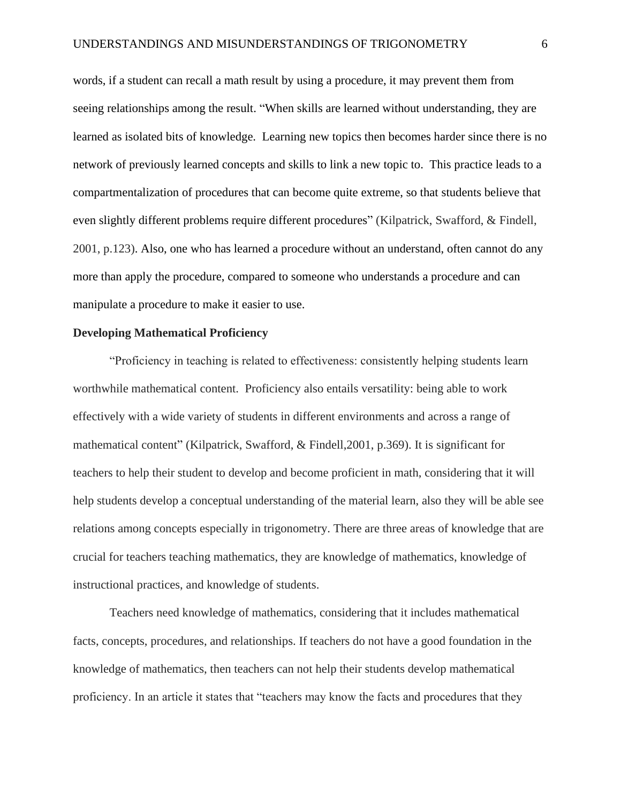words, if a student can recall a math result by using a procedure, it may prevent them from seeing relationships among the result. "When skills are learned without understanding, they are learned as isolated bits of knowledge. Learning new topics then becomes harder since there is no network of previously learned concepts and skills to link a new topic to. This practice leads to a compartmentalization of procedures that can become quite extreme, so that students believe that even slightly different problems require different procedures" (Kilpatrick, Swafford, & Findell, 2001, p.123). Also, one who has learned a procedure without an understand, often cannot do any more than apply the procedure, compared to someone who understands a procedure and can manipulate a procedure to make it easier to use.

## **Developing Mathematical Proficiency**

"Proficiency in teaching is related to effectiveness: consistently helping students learn worthwhile mathematical content. Proficiency also entails versatility: being able to work effectively with a wide variety of students in different environments and across a range of mathematical content" (Kilpatrick, Swafford, & Findell,2001, p.369). It is significant for teachers to help their student to develop and become proficient in math, considering that it will help students develop a conceptual understanding of the material learn, also they will be able see relations among concepts especially in trigonometry. There are three areas of knowledge that are crucial for teachers teaching mathematics, they are knowledge of mathematics, knowledge of instructional practices, and knowledge of students.

Teachers need knowledge of mathematics, considering that it includes mathematical facts, concepts, procedures, and relationships. If teachers do not have a good foundation in the knowledge of mathematics, then teachers can not help their students develop mathematical proficiency. In an article it states that "teachers may know the facts and procedures that they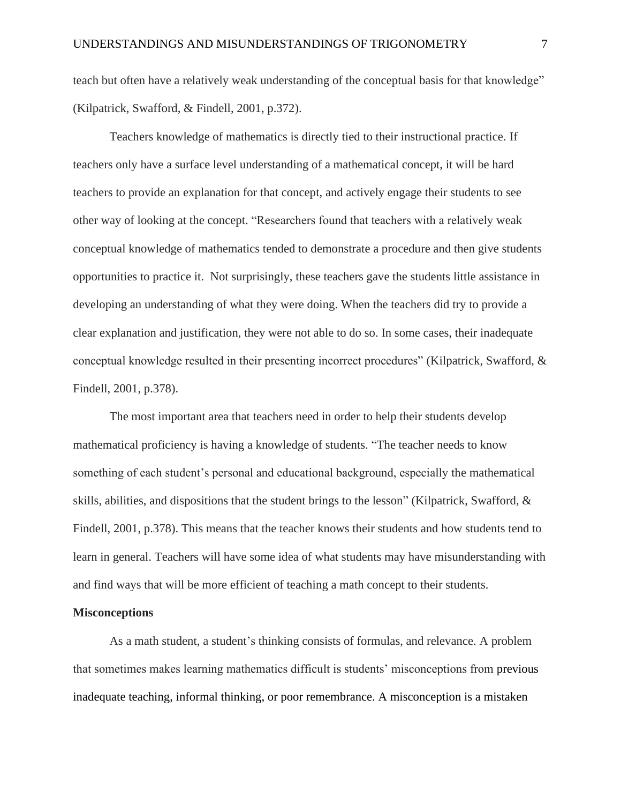teach but often have a relatively weak understanding of the conceptual basis for that knowledge" (Kilpatrick, Swafford, & Findell, 2001, p.372).

Teachers knowledge of mathematics is directly tied to their instructional practice. If teachers only have a surface level understanding of a mathematical concept, it will be hard teachers to provide an explanation for that concept, and actively engage their students to see other way of looking at the concept. "Researchers found that teachers with a relatively weak conceptual knowledge of mathematics tended to demonstrate a procedure and then give students opportunities to practice it. Not surprisingly, these teachers gave the students little assistance in developing an understanding of what they were doing. When the teachers did try to provide a clear explanation and justification, they were not able to do so. In some cases, their inadequate conceptual knowledge resulted in their presenting incorrect procedures" (Kilpatrick, Swafford, & Findell, 2001, p.378).

The most important area that teachers need in order to help their students develop mathematical proficiency is having a knowledge of students. "The teacher needs to know something of each student's personal and educational background, especially the mathematical skills, abilities, and dispositions that the student brings to the lesson" (Kilpatrick, Swafford, & Findell, 2001, p.378). This means that the teacher knows their students and how students tend to learn in general. Teachers will have some idea of what students may have misunderstanding with and find ways that will be more efficient of teaching a math concept to their students.

## **Misconceptions**

As a math student, a student's thinking consists of formulas, and relevance. A problem that sometimes makes learning mathematics difficult is students' misconceptions from previous inadequate teaching, informal thinking, or poor remembrance. A misconception is a mistaken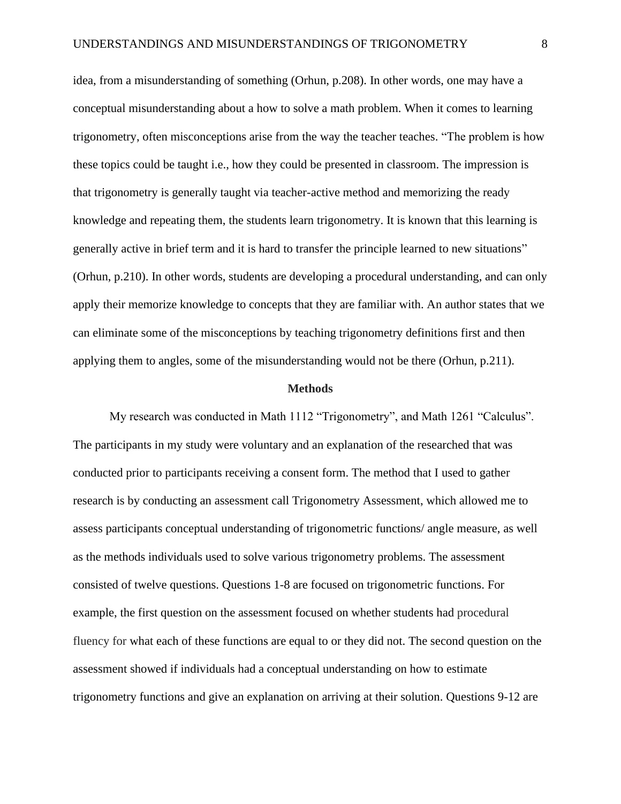idea, from a misunderstanding of something (Orhun, p.208). In other words, one may have a conceptual misunderstanding about a how to solve a math problem. When it comes to learning trigonometry, often misconceptions arise from the way the teacher teaches. "The problem is how these topics could be taught i.e., how they could be presented in classroom. The impression is that trigonometry is generally taught via teacher-active method and memorizing the ready knowledge and repeating them, the students learn trigonometry. It is known that this learning is generally active in brief term and it is hard to transfer the principle learned to new situations" (Orhun, p.210). In other words, students are developing a procedural understanding, and can only apply their memorize knowledge to concepts that they are familiar with. An author states that we can eliminate some of the misconceptions by teaching trigonometry definitions first and then applying them to angles, some of the misunderstanding would not be there (Orhun, p.211).

#### **Methods**

My research was conducted in Math 1112 "Trigonometry", and Math 1261 "Calculus". The participants in my study were voluntary and an explanation of the researched that was conducted prior to participants receiving a consent form. The method that I used to gather research is by conducting an assessment call Trigonometry Assessment, which allowed me to assess participants conceptual understanding of trigonometric functions/ angle measure, as well as the methods individuals used to solve various trigonometry problems. The assessment consisted of twelve questions. Questions 1-8 are focused on trigonometric functions. For example, the first question on the assessment focused on whether students had procedural fluency for what each of these functions are equal to or they did not. The second question on the assessment showed if individuals had a conceptual understanding on how to estimate trigonometry functions and give an explanation on arriving at their solution. Questions 9-12 are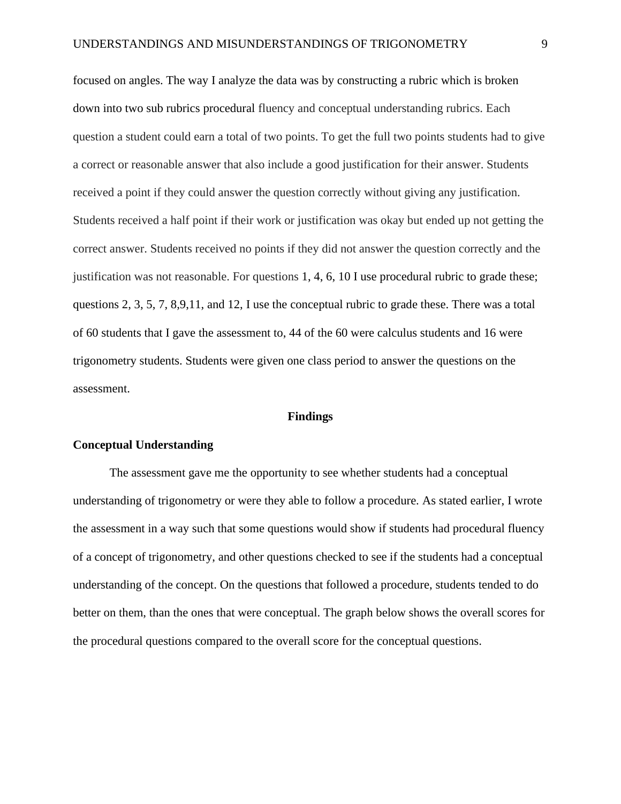focused on angles. The way I analyze the data was by constructing a rubric which is broken down into two sub rubrics procedural fluency and conceptual understanding rubrics. Each question a student could earn a total of two points. To get the full two points students had to give a correct or reasonable answer that also include a good justification for their answer. Students received a point if they could answer the question correctly without giving any justification. Students received a half point if their work or justification was okay but ended up not getting the correct answer. Students received no points if they did not answer the question correctly and the justification was not reasonable. For questions 1, 4, 6, 10 I use procedural rubric to grade these; questions 2, 3, 5, 7, 8,9,11, and 12, I use the conceptual rubric to grade these. There was a total of 60 students that I gave the assessment to, 44 of the 60 were calculus students and 16 were trigonometry students. Students were given one class period to answer the questions on the assessment.

#### **Findings**

#### **Conceptual Understanding**

The assessment gave me the opportunity to see whether students had a conceptual understanding of trigonometry or were they able to follow a procedure. As stated earlier, I wrote the assessment in a way such that some questions would show if students had procedural fluency of a concept of trigonometry, and other questions checked to see if the students had a conceptual understanding of the concept. On the questions that followed a procedure, students tended to do better on them, than the ones that were conceptual. The graph below shows the overall scores for the procedural questions compared to the overall score for the conceptual questions.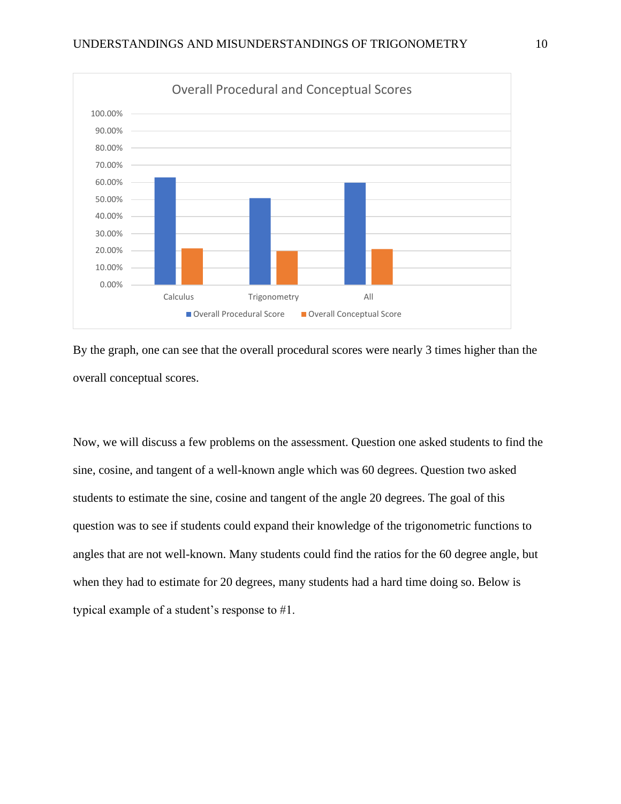

By the graph, one can see that the overall procedural scores were nearly 3 times higher than the overall conceptual scores.

Now, we will discuss a few problems on the assessment. Question one asked students to find the sine, cosine, and tangent of a well-known angle which was 60 degrees. Question two asked students to estimate the sine, cosine and tangent of the angle 20 degrees. The goal of this question was to see if students could expand their knowledge of the trigonometric functions to angles that are not well-known. Many students could find the ratios for the 60 degree angle, but when they had to estimate for 20 degrees, many students had a hard time doing so. Below is typical example of a student's response to #1.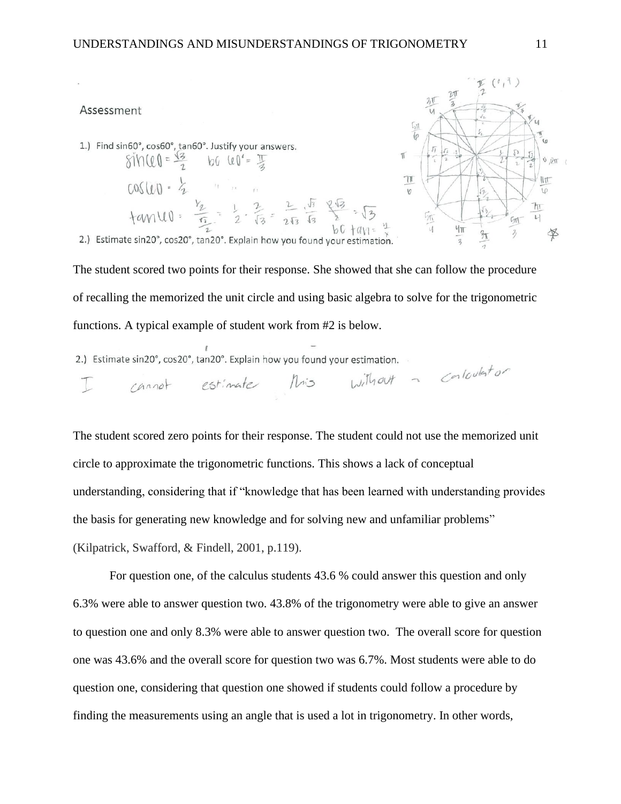### Assessment

1.) Find sin60°, cos60°, tan60°. Justify your answers.  $66 \text{ } 60^{\circ} = \frac{17}{4}$  $sin(10=\frac{\sqrt{3}}{2})$  $cos(u) = 2$  $108111 = 2$ <br> $10111 = \frac{v_2}{\frac{v_2}{2}} = \frac{1}{2} \cdot \frac{2}{13} = \frac{2}{213} \cdot \frac{\sqrt{13}}{13} = \frac{213}{13} \cdot \sqrt{13}$ 



2.) Estimate sin20°, cos20°, tan20°. Explain how you found your estimation.

The student scored two points for their response. She showed that she can follow the procedure of recalling the memorized the unit circle and using basic algebra to solve for the trigonometric functions. A typical example of student work from #2 is below.

2.) Estimate sin20°, cos20°, tan20°. Explain how you found your estimation.

 $\frac{1}{2}$  cannot estimate this without a contention

The student scored zero points for their response. The student could not use the memorized unit circle to approximate the trigonometric functions. This shows a lack of conceptual understanding, considering that if "knowledge that has been learned with understanding provides the basis for generating new knowledge and for solving new and unfamiliar problems" (Kilpatrick, Swafford, & Findell, 2001, p.119).

For question one, of the calculus students 43.6 % could answer this question and only 6.3% were able to answer question two. 43.8% of the trigonometry were able to give an answer to question one and only 8.3% were able to answer question two. The overall score for question one was 43.6% and the overall score for question two was 6.7%. Most students were able to do question one, considering that question one showed if students could follow a procedure by finding the measurements using an angle that is used a lot in trigonometry. In other words,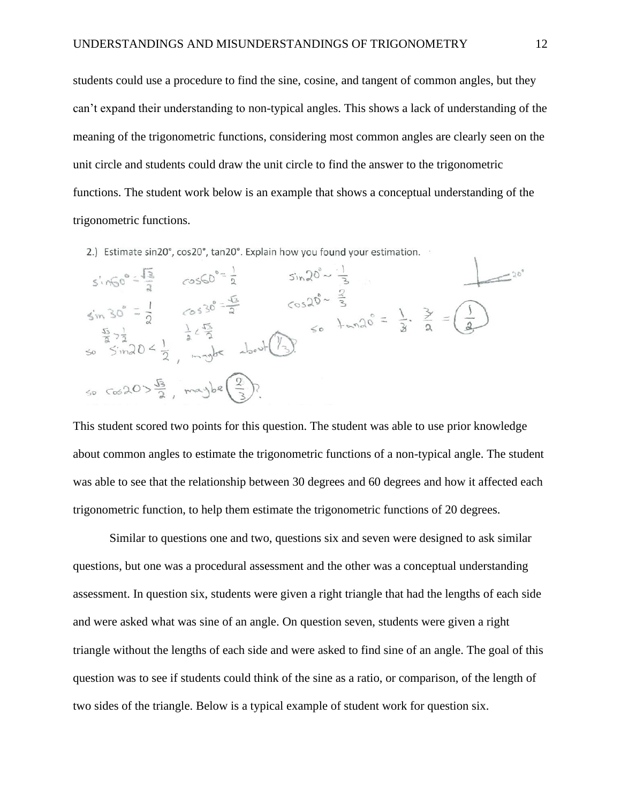students could use a procedure to find the sine, cosine, and tangent of common angles, but they can't expand their understanding to non-typical angles. This shows a lack of understanding of the meaning of the trigonometric functions, considering most common angles are clearly seen on the unit circle and students could draw the unit circle to find the answer to the trigonometric functions. The student work below is an example that shows a conceptual understanding of the trigonometric functions.

2.) Estimate sin20°, cos20°, tan20°. Explain how you found your estimation.

| $sin60^{\circ} = \frac{13}{2}$                                                 | $cos60° = \frac{1}{2}$                                                                                            | $sin 20^{\circ} \sim \frac{1}{2}$ |                                                                                          |  |
|--------------------------------------------------------------------------------|-------------------------------------------------------------------------------------------------------------------|-----------------------------------|------------------------------------------------------------------------------------------|--|
| $\sin 30^\circ = \frac{1}{2}$                                                  | $(0530^{\circ} - \frac{\sqrt{3}}{2})$                                                                             | $cos 20^\circ - \frac{2}{3}$      | $\frac{1}{20} + \frac{1}{20} = \frac{1}{3} \cdot \frac{3}{2} = \left(\frac{1}{3}\right)$ |  |
|                                                                                | $\frac{\frac{5}{2} - \frac{1}{2}}{50 - \frac{5}{2} \cdot 20}$ = $\frac{1}{2} \times \frac{\sqrt{5}}{2}$ about (1) |                                   |                                                                                          |  |
| $50 \text{ cos } 20 > \frac{\sqrt{3}}{2}$ , maybe $\left(\frac{2}{3}\right)$ ? |                                                                                                                   |                                   |                                                                                          |  |

This student scored two points for this question. The student was able to use prior knowledge about common angles to estimate the trigonometric functions of a non-typical angle. The student was able to see that the relationship between 30 degrees and 60 degrees and how it affected each trigonometric function, to help them estimate the trigonometric functions of 20 degrees.

Similar to questions one and two, questions six and seven were designed to ask similar questions, but one was a procedural assessment and the other was a conceptual understanding assessment. In question six, students were given a right triangle that had the lengths of each side and were asked what was sine of an angle. On question seven, students were given a right triangle without the lengths of each side and were asked to find sine of an angle. The goal of this question was to see if students could think of the sine as a ratio, or comparison, of the length of two sides of the triangle. Below is a typical example of student work for question six.

ī.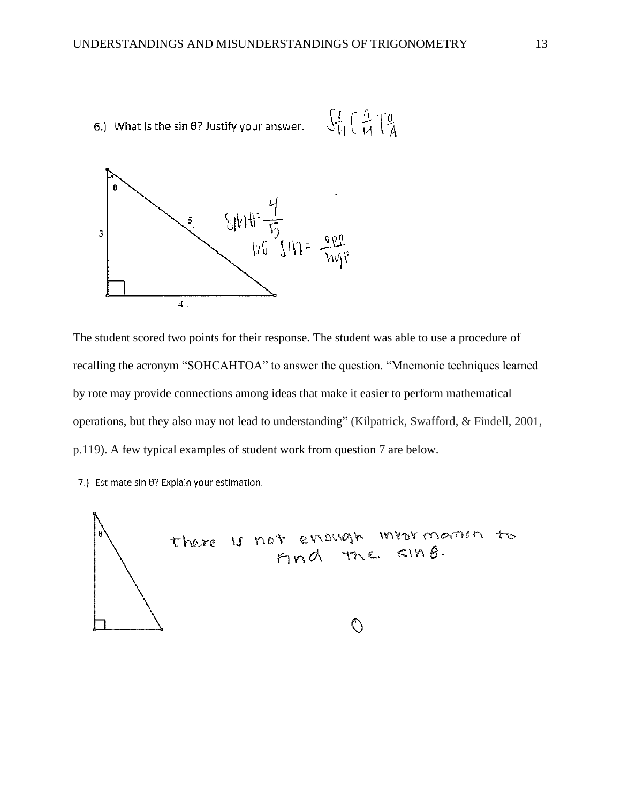



The student scored two points for their response. The student was able to use a procedure of recalling the acronym "SOHCAHTOA" to answer the question. "Mnemonic techniques learned by rote may provide connections among ideas that make it easier to perform mathematical operations, but they also may not lead to understanding" (Kilpatrick, Swafford, & Findell, 2001, p.119). A few typical examples of student work from question 7 are below.

7.) Estimate sin 0? Explain your estimation.

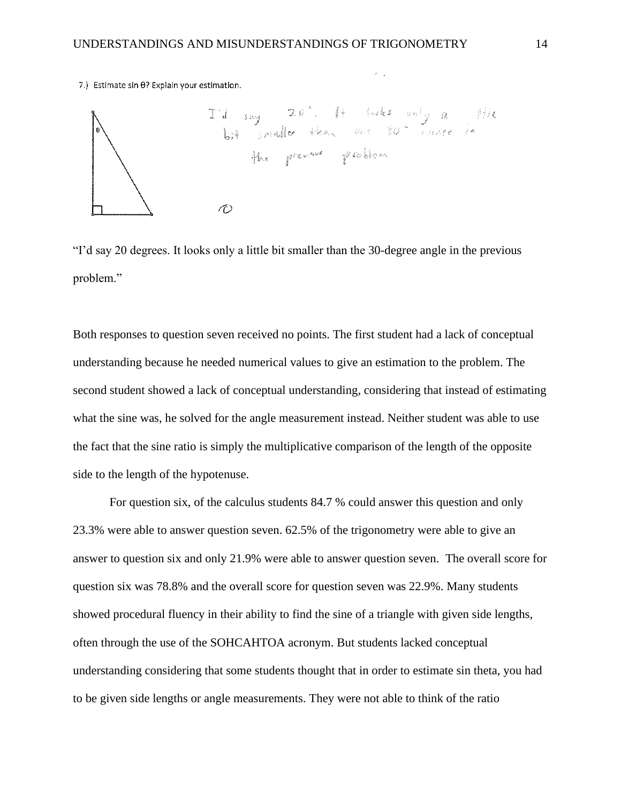7.) Estimate sin 0? Explain your estimation.



"I'd say 20 degrees. It looks only a little bit smaller than the 30-degree angle in the previous problem."

Both responses to question seven received no points. The first student had a lack of conceptual understanding because he needed numerical values to give an estimation to the problem. The second student showed a lack of conceptual understanding, considering that instead of estimating what the sine was, he solved for the angle measurement instead. Neither student was able to use the fact that the sine ratio is simply the multiplicative comparison of the length of the opposite side to the length of the hypotenuse.

For question six, of the calculus students 84.7 % could answer this question and only 23.3% were able to answer question seven. 62.5% of the trigonometry were able to give an answer to question six and only 21.9% were able to answer question seven. The overall score for question six was 78.8% and the overall score for question seven was 22.9%. Many students showed procedural fluency in their ability to find the sine of a triangle with given side lengths, often through the use of the SOHCAHTOA acronym. But students lacked conceptual understanding considering that some students thought that in order to estimate sin theta, you had to be given side lengths or angle measurements. They were not able to think of the ratio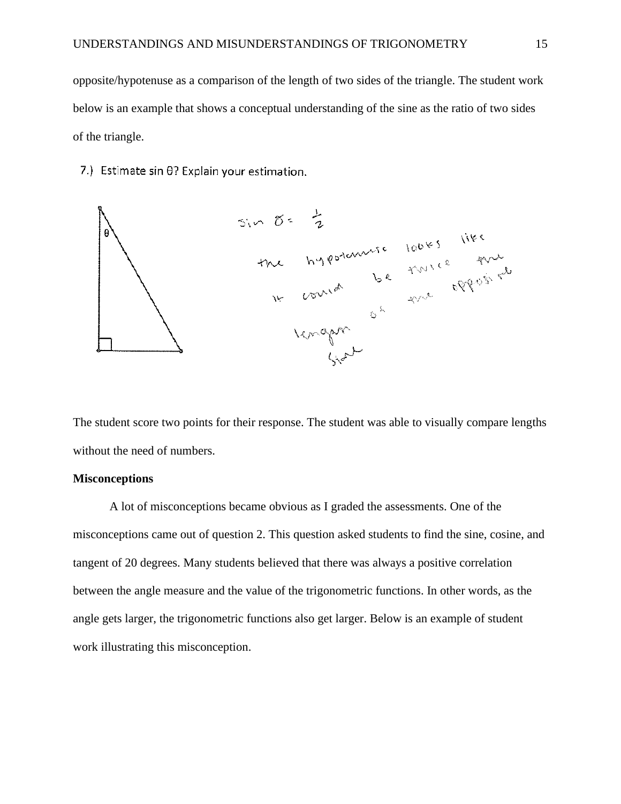opposite/hypotenuse as a comparison of the length of two sides of the triangle. The student work below is an example that shows a conceptual understanding of the sine as the ratio of two sides of the triangle.

7.) Estimate sin 0? Explain your estimation.



The student score two points for their response. The student was able to visually compare lengths without the need of numbers.

## **Misconceptions**

A lot of misconceptions became obvious as I graded the assessments. One of the misconceptions came out of question 2. This question asked students to find the sine, cosine, and tangent of 20 degrees. Many students believed that there was always a positive correlation between the angle measure and the value of the trigonometric functions. In other words, as the angle gets larger, the trigonometric functions also get larger. Below is an example of student work illustrating this misconception.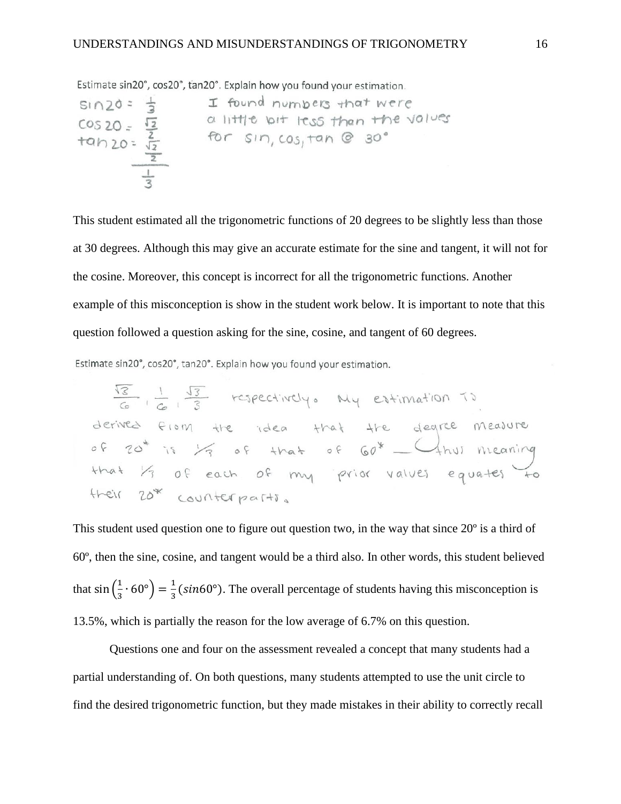Estimate sin20°, cos20°, tan20°. Explain how you found your estimation.

$$
\begin{array}{rcl}\n\text{sin } 20 & = & \frac{1}{3} & \text{I found numbers that were} \\
\text{cos } 20 & = & \frac{\sqrt{2}}{2} & \text{a little bit less than the values} \\
\text{tan } 20 & = & \frac{\sqrt{2}}{2} & \text{for } \text{sin, } \cos, \text{tan } \theta & 30 \\
\hline\n\frac{1}{3}\n\end{array}
$$

This student estimated all the trigonometric functions of 20 degrees to be slightly less than those at 30 degrees. Although this may give an accurate estimate for the sine and tangent, it will not for the cosine. Moreover, this concept is incorrect for all the trigonometric functions. Another example of this misconception is show in the student work below. It is important to note that this question followed a question asking for the sine, cosine, and tangent of 60 degrees.

Estimate sin20°, cos20°, tan20°. Explain how you found your estimation.

$$
\frac{\sqrt{3}}{6} + \frac{1}{6} + \frac{\sqrt{3}}{3}
$$
 respectively. My estimation to derive the form the idea that the degree measure of 70<sup>\*</sup> is  $\frac{1}{3}$  of that of 60<sup>\*</sup> — 4hvi meaning that  $\frac{1}{3}$  of each of my prior values equates to their 20<sup>\*</sup> counterpartis.

This student used question one to figure out question two, in the way that since 20º is a third of 60º, then the sine, cosine, and tangent would be a third also. In other words, this student believed that  $\sin\left(\frac{1}{2}\right)$  $\frac{1}{3} \cdot 60^{\circ}$  =  $\frac{1}{3}$  $\frac{1}{3}$  (sin60°). The overall percentage of students having this misconception is 13.5%, which is partially the reason for the low average of 6.7% on this question.

Questions one and four on the assessment revealed a concept that many students had a partial understanding of. On both questions, many students attempted to use the unit circle to find the desired trigonometric function, but they made mistakes in their ability to correctly recall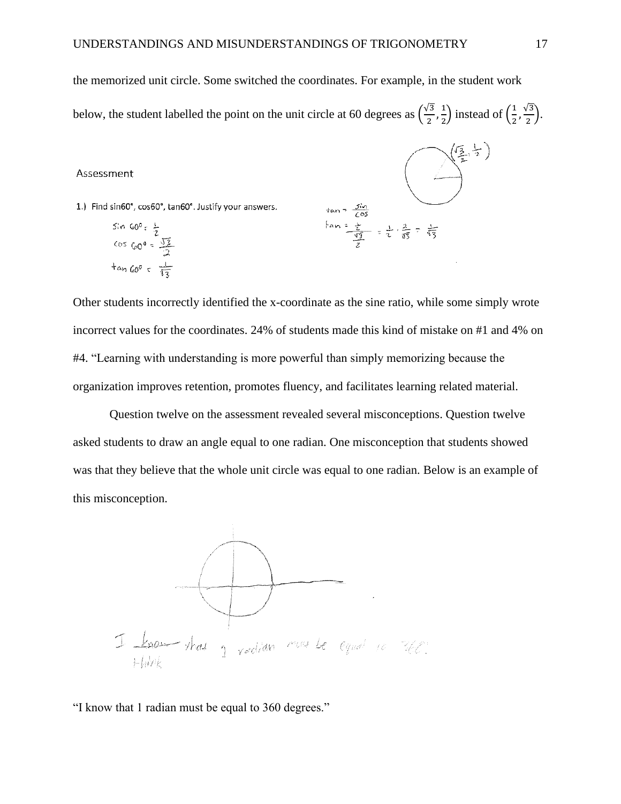the memorized unit circle. Some switched the coordinates. For example, in the student work

below, the student labelled the point on the unit circle at 60 degrees as  $\left(\frac{\sqrt{3}}{2}\right)$  $\frac{\sqrt{3}}{2}, \frac{1}{2}$  $\frac{1}{2}$ ) instead of  $\left(\frac{1}{2}\right)$  $\frac{1}{2}, \frac{\sqrt{3}}{2}$  $\frac{1}{2}$ ).

#### Assessment

1.) Find sin60°, cos60°, tan60°. Justify your answers.

$$
sin 60^{\circ} = \frac{1}{2}
$$
  

$$
cos 60^{\circ} = \frac{\sqrt{3}}{2}
$$
  

$$
tan 60^{\circ} = \frac{1}{\sqrt{3}}
$$

$$
\tan = \frac{\sin}{\cos \theta} = \frac{1}{2} \cdot \frac{2}{\sqrt{3}} = \frac{1}{\sqrt{3}} \cdot \frac{2}{\sqrt{3}}
$$

Other students incorrectly identified the x-coordinate as the sine ratio, while some simply wrote incorrect values for the coordinates. 24% of students made this kind of mistake on #1 and 4% on #4. "Learning with understanding is more powerful than simply memorizing because the organization improves retention, promotes fluency, and facilitates learning related material.

Question twelve on the assessment revealed several misconceptions. Question twelve asked students to draw an angle equal to one radian. One misconception that students showed was that they believe that the whole unit circle was equal to one radian. Below is an example of this misconception.



"I know that 1 radian must be equal to 360 degrees."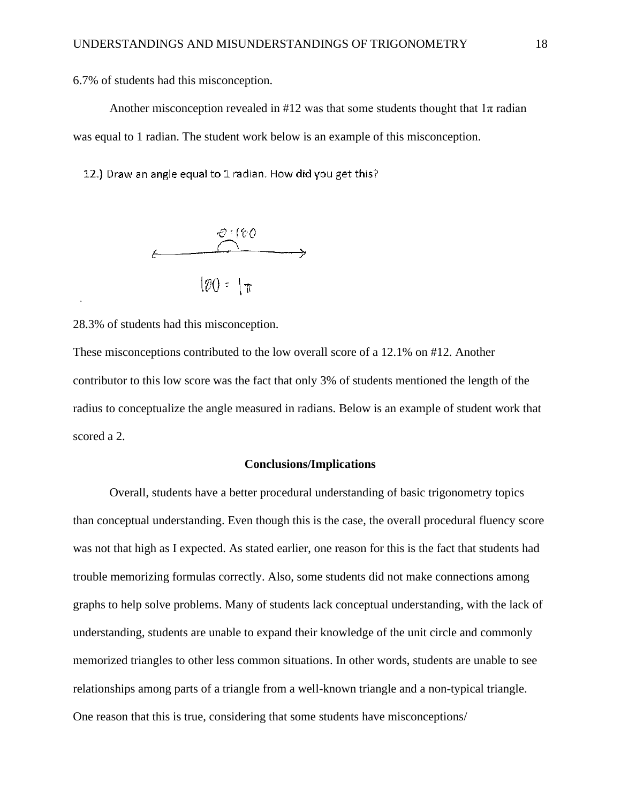6.7% of students had this misconception.

Another misconception revealed in #12 was that some students thought that  $1\pi$  radian was equal to 1 radian. The student work below is an example of this misconception.

12.) Draw an angle equal to 1 radian. How did you get this?



28.3% of students had this misconception.

These misconceptions contributed to the low overall score of a 12.1% on #12. Another contributor to this low score was the fact that only 3% of students mentioned the length of the radius to conceptualize the angle measured in radians. Below is an example of student work that scored a 2.

## **Conclusions/Implications**

Overall, students have a better procedural understanding of basic trigonometry topics than conceptual understanding. Even though this is the case, the overall procedural fluency score was not that high as I expected. As stated earlier, one reason for this is the fact that students had trouble memorizing formulas correctly. Also, some students did not make connections among graphs to help solve problems. Many of students lack conceptual understanding, with the lack of understanding, students are unable to expand their knowledge of the unit circle and commonly memorized triangles to other less common situations. In other words, students are unable to see relationships among parts of a triangle from a well-known triangle and a non-typical triangle. One reason that this is true, considering that some students have misconceptions/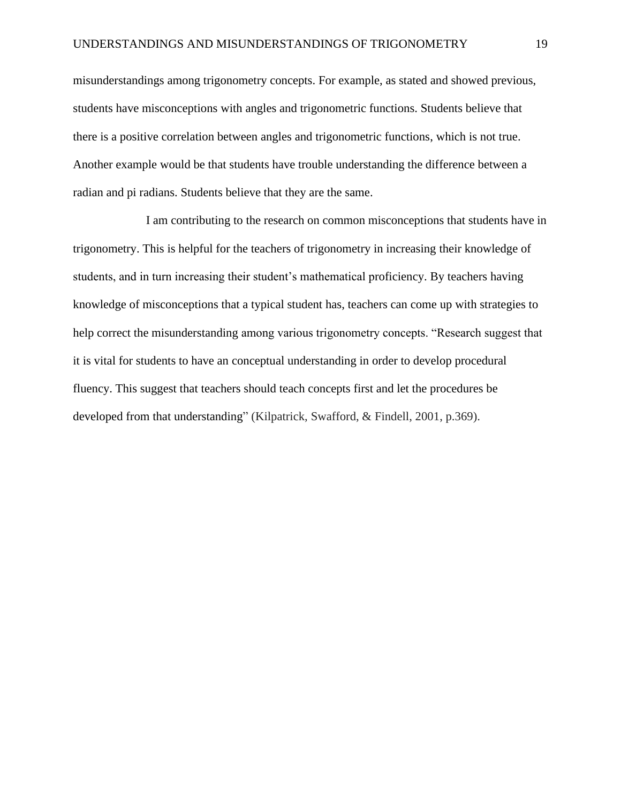misunderstandings among trigonometry concepts. For example, as stated and showed previous, students have misconceptions with angles and trigonometric functions. Students believe that there is a positive correlation between angles and trigonometric functions, which is not true. Another example would be that students have trouble understanding the difference between a radian and pi radians. Students believe that they are the same.

I am contributing to the research on common misconceptions that students have in trigonometry. This is helpful for the teachers of trigonometry in increasing their knowledge of students, and in turn increasing their student's mathematical proficiency. By teachers having knowledge of misconceptions that a typical student has, teachers can come up with strategies to help correct the misunderstanding among various trigonometry concepts. "Research suggest that it is vital for students to have an conceptual understanding in order to develop procedural fluency. This suggest that teachers should teach concepts first and let the procedures be developed from that understanding" (Kilpatrick, Swafford, & Findell, 2001, p.369).